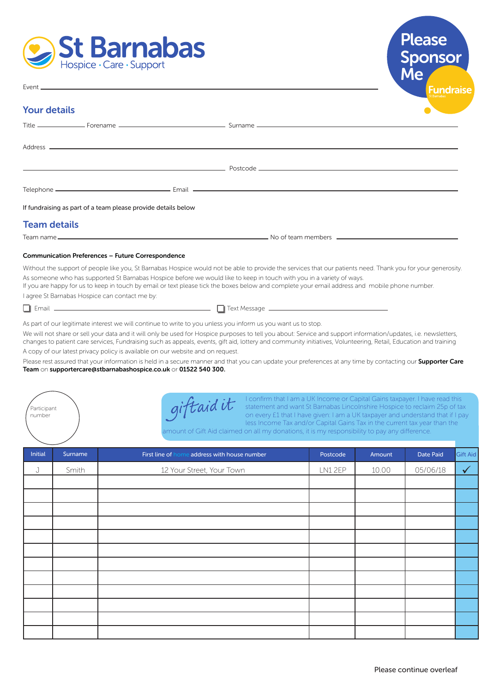



#### Event<sub>-</sub>

### Your details

|                     | If fundraising as part of a team please provide details below |                                                                                                                                                                                                                                                                                                                                                                                                                                        |
|---------------------|---------------------------------------------------------------|----------------------------------------------------------------------------------------------------------------------------------------------------------------------------------------------------------------------------------------------------------------------------------------------------------------------------------------------------------------------------------------------------------------------------------------|
| <b>Team details</b> |                                                               |                                                                                                                                                                                                                                                                                                                                                                                                                                        |
|                     |                                                               |                                                                                                                                                                                                                                                                                                                                                                                                                                        |
|                     | <b>Communication Preferences - Future Correspondence</b>      |                                                                                                                                                                                                                                                                                                                                                                                                                                        |
|                     |                                                               | Without the support of people like you, St Barnabas Hospice would not be able to provide the services that our patients need. Thank you for your generosity<br>As someone who has supported St Barnabas Hospice before we would like to keep in touch with you in a variety of ways.<br>If you are happy for us to keep in touch by email or text please tick the boxes below and complete your email address and mobile phone number. |

I agree St Barnabas Hospice can contact me by:

 $\Box$  Email  $\Box$ 

Participant number

 $\Box$  Text Message  $\Box$ 

As part of our legitimate interest we will continue to write to you unless you inform us you want us to stop.

We will not share or sell your data and it will only be used for Hospice purposes to tell you about: Service and support information/updates, i.e. newsletters, changes to patient care services, Fundraising such as appeals, events, gift aid, lottery and community initiatives, Volunteering, Retail, Education and training A copy of our latest privacy policy is available on our website and on request.

Please rest assured that your information is held in a secure manner and that you can update your preferences at any time by contacting our Supporter Care Team on supportercare@stbarnabashospice.co.uk or 01522 540 300.

giftaidit

I confirm that I am a UK Income or Capital Gains taxpayer. I have read this statement and want St Barnabas Lincolnshire Hospice to reclaim 25p of tax on every £1 that I have given: I am a UK taxpayer and understand that if I pay less Income Tax and/or Capital Gains Tax in the current tax year than the

amount of Gift Aid claimed on all my donations, it is my responsibility to pay any difference.

| Initial | Surname | First line of home address with house number | Postcode | Amount | Date Paid | Gift Aid     |
|---------|---------|----------------------------------------------|----------|--------|-----------|--------------|
| J       | Smith   | 12 Your Street, Your Town                    | LN12EP   | 10.00  | 05/06/18  | $\checkmark$ |
|         |         |                                              |          |        |           |              |
|         |         |                                              |          |        |           |              |
|         |         |                                              |          |        |           |              |
|         |         |                                              |          |        |           |              |
|         |         |                                              |          |        |           |              |
|         |         |                                              |          |        |           |              |
|         |         |                                              |          |        |           |              |
|         |         |                                              |          |        |           |              |
|         |         |                                              |          |        |           |              |
|         |         |                                              |          |        |           |              |
|         |         |                                              |          |        |           |              |
|         |         |                                              |          |        |           |              |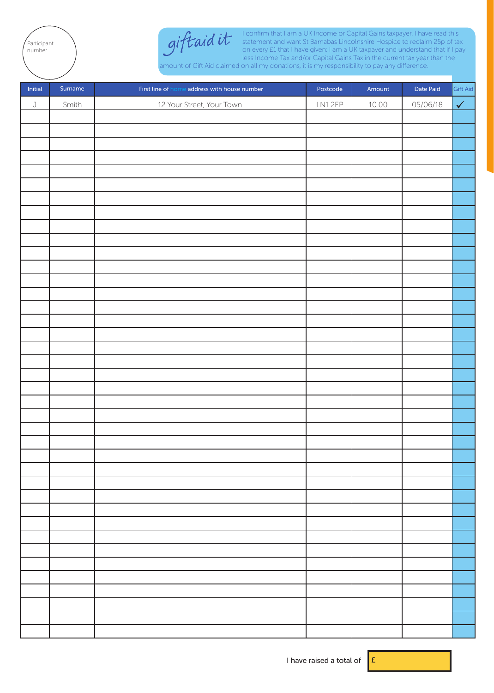



I confirm that I am a UK Income or Capital Gains taxpayer. I have read this statement and want St Barnabas Lincolnshire Hospice to reclaim 25p of tax on every £1 that I have given: I am a UK taxpayer and understand that if I pay less Income Tax and/or Capital Gains Tax in the current tax year than the

amount of Gift Aid claimed on all my donations, it is my responsibility to pay any difference.

| Initial     | Surname | First line of home address with house number | Postcode | Amount | Date Paid | Gift Aid   |
|-------------|---------|----------------------------------------------|----------|--------|-----------|------------|
| $\mathsf J$ | Smith   | 12 Your Street, Your Town                    | LN12EP   | 10.00  | 05/06/18  | $\sqrt{2}$ |
|             |         |                                              |          |        |           |            |
|             |         |                                              |          |        |           |            |
|             |         |                                              |          |        |           |            |
|             |         |                                              |          |        |           |            |
|             |         |                                              |          |        |           |            |
|             |         |                                              |          |        |           |            |
|             |         |                                              |          |        |           |            |
|             |         |                                              |          |        |           |            |
|             |         |                                              |          |        |           |            |
|             |         |                                              |          |        |           |            |
|             |         |                                              |          |        |           |            |
|             |         |                                              |          |        |           |            |
|             |         |                                              |          |        |           |            |
|             |         |                                              |          |        |           |            |
|             |         |                                              |          |        |           |            |
|             |         |                                              |          |        |           |            |
|             |         |                                              |          |        |           |            |
|             |         |                                              |          |        |           |            |
|             |         |                                              |          |        |           |            |
|             |         |                                              |          |        |           |            |
|             |         |                                              |          |        |           |            |
|             |         |                                              |          |        |           |            |
|             |         |                                              |          |        |           |            |
|             |         |                                              |          |        |           |            |
|             |         |                                              |          |        |           |            |
|             |         |                                              |          |        |           |            |
|             |         |                                              |          |        |           |            |
|             |         |                                              |          |        |           |            |
|             |         |                                              |          |        |           |            |
|             |         |                                              |          |        |           |            |
|             |         |                                              |          |        |           |            |
|             |         |                                              |          |        |           |            |
|             |         |                                              |          |        |           |            |
|             |         |                                              |          |        |           |            |
|             |         |                                              |          |        |           |            |
|             |         |                                              |          |        |           |            |
|             |         |                                              |          |        |           |            |
|             |         |                                              |          |        |           |            |
|             |         |                                              |          |        |           |            |

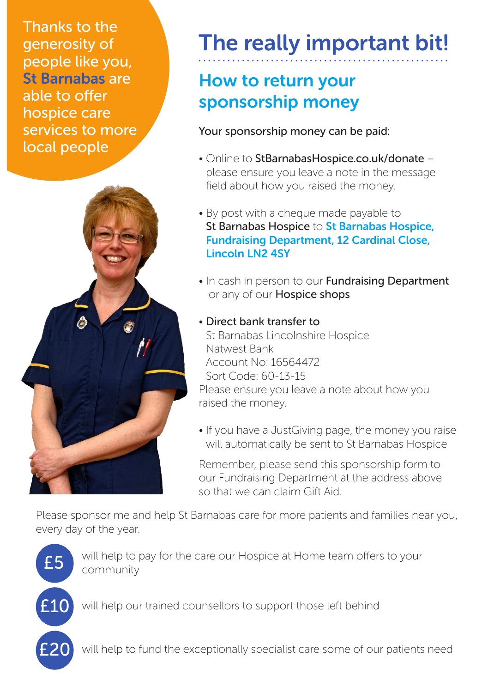Thanks to the generosity of people like you, St Barnabas are able to offer hospice care services to more local people



# The really important bit!

## How to return your sponsorship money

Your sponsorship money can be paid:

- Online to StBarnabasHospice.co.uk/donate please ensure you leave a note in the message field about how you raised the money.
- By post with a cheque made payable to St Barnabas Hospice to St Barnabas Hospice, Fundraising Department, 12 Cardinal Close, Lincoln LN2 4SY
- In cash in person to our **Fundraising Department** or any of our **Hospice shops**
- Direct bank transfer to: St Barnabas Lincolnshire Hospice Natwest Bank Account No: 16564472 Sort Code: 60-13-15 Please ensure you leave a note about how you raised the money.
- If you have a JustGiving page, the money you raise will automatically be sent to St Barnabas Hospice

Remember, please send this sponsorship form to our Fundraising Department at the address above so that we can claim Gift Aid.

Please sponsor me and help St Barnabas care for more patients and families near you, every day of the year.



will help to pay for the care our Hospice at Home team offers to your community

will help our trained counsellors to support those left behind

will help to fund the exceptionally specialist care some of our patients need